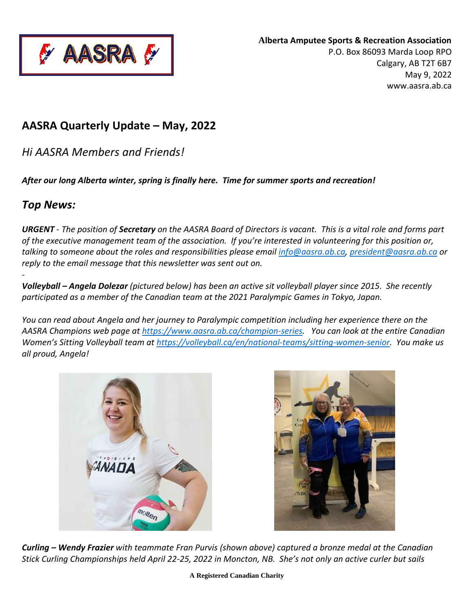

# **AASRA Quarterly Update – May, 2022**

*Hi AASRA Members and Friends!*

*After our long Alberta winter, spring is finally here. Time for summer sports and recreation!*

# *Top News:*

-

*URGENT* - *The position of Secretary on the AASRA Board of Directors is vacant. This is a vital role and forms part of the executive management team of the association. If you're interested in volunteering for this position or, talking to someone about the roles and responsibilities please email [info@aasra.ab.ca,](mailto:info@aasra.ab.ca) [president@aasra.ab.ca](mailto:president@aasra.ab.ca) or reply to the email message that this newsletter was sent out on.*

*Volleyball – Angela Dolezar (pictured below) has been an active sit volleyball player since 2015. She recently participated as a member of the Canadian team at the 2021 Paralympic Games in Tokyo, Japan.* 

*You can read about Angela and her journey to Paralympic competition including her experience there on the AASRA Champions web page at [https://www.aasra.ab.ca/champion-series.](https://www.aasra.ab.ca/angelena-dolezar) You can look at the entire Canadian Women's Sitting Volleyball team at [https://volleyball.ca/en/national-teams/sitting-women-senior.](https://volleyball.ca/en/national-teams/sitting-women-senior) You make us all proud, Angela!* 





*Curling – Wendy Frazier with teammate Fran Purvis (shown above) captured a bronze medal at the Canadian Stick Curling Championships held April 22-25, 2022 in Moncton, NB. She's not only an active curler but sails*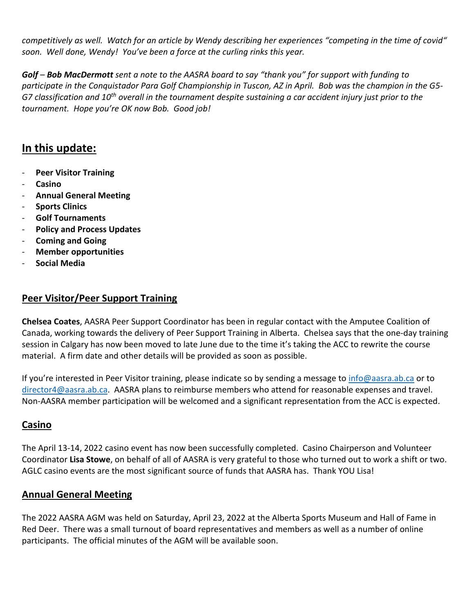*competitively as well. Watch for an article by Wendy describing her experiences "competing in the time of covid" soon. Well done, Wendy! You've been a force at the curling rinks this year.*

*Golf – Bob MacDermott sent a note to the AASRA board to say "thank you" for support with funding to participate in the Conquistador Para Golf Championship in Tuscon, AZ in April. Bob was the champion in the G5- G7 classification and 10th overall in the tournament despite sustaining a car accident injury just prior to the tournament. Hope you're OK now Bob. Good job!*

# **In this update:**

- **Peer Visitor Training**
- **Casino**
- **Annual General Meeting**
- **Sports Clinics**
- **Golf Tournaments**
- **Policy and Process Updates**
- **Coming and Going**
- **Member opportunities**
- **Social Media**

### **Peer Visitor/Peer Support Training**

**Chelsea Coates**, AASRA Peer Support Coordinator has been in regular contact with the Amputee Coalition of Canada, working towards the delivery of Peer Support Training in Alberta. Chelsea says that the one-day training session in Calgary has now been moved to late June due to the time it's taking the ACC to rewrite the course material. A firm date and other details will be provided as soon as possible.

If you're interested in Peer Visitor training, please indicate so by sending a message to *info@aasra.ab.ca* or to [director4@aasra.ab.ca.](mailto:director4@aasra.ab.ca) AASRA plans to reimburse members who attend for reasonable expenses and travel. Non-AASRA member participation will be welcomed and a significant representation from the ACC is expected.

#### **Casino**

The April 13-14, 2022 casino event has now been successfully completed. Casino Chairperson and Volunteer Coordinator **Lisa Stowe**, on behalf of all of AASRA is very grateful to those who turned out to work a shift or two. AGLC casino events are the most significant source of funds that AASRA has. Thank YOU Lisa!

### **Annual General Meeting**

The 2022 AASRA AGM was held on Saturday, April 23, 2022 at the Alberta Sports Museum and Hall of Fame in Red Deer. There was a small turnout of board representatives and members as well as a number of online participants. The official minutes of the AGM will be available soon.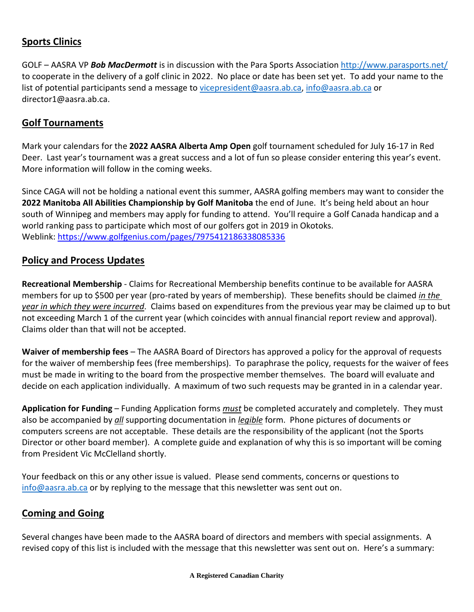## **Sports Clinics**

GOLF – AASRA VP *Bob MacDermott* is in discussion with the Para Sports Association <http://www.parasports.net/> to cooperate in the delivery of a golf clinic in 2022. No place or date has been set yet. To add your name to the list of potential participants send a message to [vicepresident@aasra.ab.ca,](mailto:vicepresident@aasra.ab.ca) [info@aasra.ab.ca](mailto:info@aasra.ab.ca) or director1@aasra.ab.ca.

#### **Golf Tournaments**

Mark your calendars for the **2022 AASRA Alberta Amp Open** golf tournament scheduled for July 16-17 in Red Deer. Last year's tournament was a great success and a lot of fun so please consider entering this year's event. More information will follow in the coming weeks.

Since CAGA will not be holding a national event this summer, AASRA golfing members may want to consider the **2022 Manitoba All Abilities Championship by Golf Manitoba** the end of June. It's being held about an hour south of Winnipeg and members may apply for funding to attend. You'll require a Golf Canada handicap and a world ranking pass to participate which most of our golfers got in 2019 in Okotoks. Weblink: <https://www.golfgenius.com/pages/7975412186338085336>

#### **Policy and Process Updates**

**Recreational Membership** - Claims for Recreational Membership benefits continue to be available for AASRA members for up to \$500 per year (pro-rated by years of membership). These benefits should be claimed *in the year in which they were incurred*. Claims based on expenditures from the previous year may be claimed up to but not exceeding March 1 of the current year (which coincides with annual financial report review and approval). Claims older than that will not be accepted.

**Waiver of membership fees** – The AASRA Board of Directors has approved a policy for the approval of requests for the waiver of membership fees (free memberships). To paraphrase the policy, requests for the waiver of fees must be made in writing to the board from the prospective member themselves. The board will evaluate and decide on each application individually. A maximum of two such requests may be granted in in a calendar year.

**Application for Funding** – Funding Application forms *must* be completed accurately and completely. They must also be accompanied by *all* supporting documentation in *legible* form. Phone pictures of documents or computers screens are not acceptable. These details are the responsibility of the applicant (not the Sports Director or other board member). A complete guide and explanation of why this is so important will be coming from President Vic McClelland shortly.

Your feedback on this or any other issue is valued. Please send comments, concerns or questions to [info@aasra.ab.ca](mailto:info@aasra.ab.ca) or by replying to the message that this newsletter was sent out on.

#### **Coming and Going**

Several changes have been made to the AASRA board of directors and members with special assignments. A revised copy of this list is included with the message that this newsletter was sent out on. Here's a summary: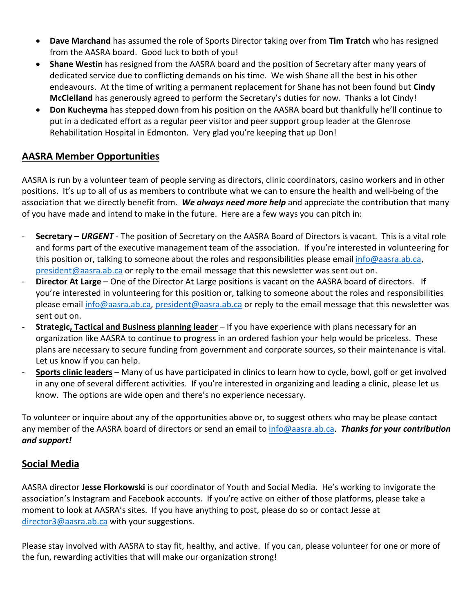- **Dave Marchand** has assumed the role of Sports Director taking over from **Tim Tratch** who has resigned from the AASRA board. Good luck to both of you!
- **Shane Westin** has resigned from the AASRA board and the position of Secretary after many years of dedicated service due to conflicting demands on his time. We wish Shane all the best in his other endeavours. At the time of writing a permanent replacement for Shane has not been found but **Cindy McClelland** has generously agreed to perform the Secretary's duties for now. Thanks a lot Cindy!
- **Don Kucheyma** has stepped down from his position on the AASRA board but thankfully he'll continue to put in a dedicated effort as a regular peer visitor and peer support group leader at the Glenrose Rehabilitation Hospital in Edmonton. Very glad you're keeping that up Don!

## **AASRA Member Opportunities**

AASRA is run by a volunteer team of people serving as directors, clinic coordinators, casino workers and in other positions. It's up to all of us as members to contribute what we can to ensure the health and well-being of the association that we directly benefit from. *We always need more help* and appreciate the contribution that many of you have made and intend to make in the future. Here are a few ways you can pitch in:

- **Secretary** *URGENT* The position of Secretary on the AASRA Board of Directors is vacant. This is a vital role and forms part of the executive management team of the association. If you're interested in volunteering for this position or, talking to someone about the roles and responsibilities please email [info@aasra.ab.ca,](mailto:info@aasra.ab.ca) [president@aasra.ab.ca](mailto:president@aasra.ab.ca) or reply to the email message that this newsletter was sent out on.
- **Director At Large** One of the Director At Large positions is vacant on the AASRA board of directors. If you're interested in volunteering for this position or, talking to someone about the roles and responsibilities please email [info@aasra.ab.ca,](mailto:info@aasra.ab.ca) [president@aasra.ab.ca](mailto:president@aasra.ab.ca) or reply to the email message that this newsletter was sent out on.
- **Strategic, Tactical and Business planning leader** If you have experience with plans necessary for an organization like AASRA to continue to progress in an ordered fashion your help would be priceless. These plans are necessary to secure funding from government and corporate sources, so their maintenance is vital. Let us know if you can help.
- **Sports clinic leaders** Many of us have participated in clinics to learn how to cycle, bowl, golf or get involved in any one of several different activities. If you're interested in organizing and leading a clinic, please let us know. The options are wide open and there's no experience necessary.

To volunteer or inquire about any of the opportunities above or, to suggest others who may be please contact any member of the AASRA board of directors or send an email to [info@aasra.ab.ca.](mailto:info@aasra.ab.ca) *Thanks for your contribution and support!*

# **Social Media**

AASRA director **Jesse Florkowski** is our coordinator of Youth and Social Media. He's working to invigorate the association's Instagram and Facebook accounts. If you're active on either of those platforms, please take a moment to look at AASRA's sites. If you have anything to post, please do so or contact Jesse at [director3@aasra.ab.ca](mailto:director3@aasra.ab.ca) with your suggestions.

Please stay involved with AASRA to stay fit, healthy, and active. If you can, please volunteer for one or more of the fun, rewarding activities that will make our organization strong!